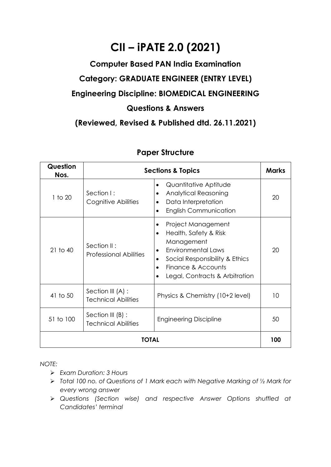## **CII – iPATE 2.0 (2021)**

## **Computer Based PAN India Examination Category: GRADUATE ENGINEER (ENTRY LEVEL) Engineering Discipline: BIOMEDICAL ENGINEERING Questions & Answers**

**(Reviewed, Revised & Published dtd. 26.11.2021)**

| Question<br>Nos. | <b>Sections &amp; Topics</b>                      |                                                                                                                                                                                               |    |  |
|------------------|---------------------------------------------------|-----------------------------------------------------------------------------------------------------------------------------------------------------------------------------------------------|----|--|
| 1 to 20          | Section I:<br>Cognitive Abilities                 | Quantitative Aptitude<br>$\bullet$<br><b>Analytical Reasoning</b><br>٠<br>Data Interpretation<br><b>English Communication</b>                                                                 | 20 |  |
| $21$ to $40$     | Section II:<br><b>Professional Abilities</b>      | Project Management<br>Health, Safety & Risk<br>$\bullet$<br>Management<br><b>Environmental Laws</b><br>Social Responsibility & Ethics<br>Finance & Accounts<br>Legal, Contracts & Arbitration | 20 |  |
| 41 to 50         | Section III (A) :<br><b>Technical Abilities</b>   | Physics & Chemistry (10+2 level)                                                                                                                                                              | 10 |  |
| 51 to 100        | Section III $(B)$ :<br><b>Technical Abilities</b> | <b>Engineering Discipline</b>                                                                                                                                                                 | 50 |  |
| TOTAL            |                                                   |                                                                                                                                                                                               |    |  |

## **Paper Structure**

*NOTE:*

- ➢ *Exam Duration: 3 Hours*
- ➢ *Total 100 no. of Questions of 1 Mark each with Negative Marking of ½ Mark for every wrong answer*
- ➢ *Questions (Section wise) and respective Answer Options shuffled at Candidates' terminal*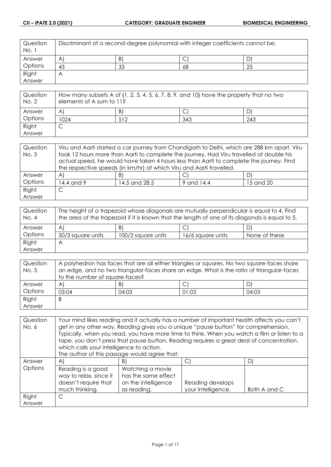| Question<br>No. 1 | Discriminant of a second-degree polynomial with integer coefficients cannot be: |    |    |    |
|-------------------|---------------------------------------------------------------------------------|----|----|----|
| Answer            | $\mathsf{A}^{\mathsf{c}}$                                                       | B) | ◡  | D  |
| Options           | 43                                                                              | 33 | 68 | 25 |
| Right             | $\bigwedge$                                                                     |    |    |    |
| Answer            |                                                                                 |    |    |    |

| Question<br>No. 2 | How many subsets A of $\{1, 2, 3, 4, 5, 6, 7, 8, 9,$ and $10\}$ have the property that no two<br>elements of A sum to 11? |     |     |     |
|-------------------|---------------------------------------------------------------------------------------------------------------------------|-----|-----|-----|
| Answer            | A                                                                                                                         | B)  |     | D   |
| Options           | 1024                                                                                                                      | 512 | 343 | 243 |
| Right             |                                                                                                                           |     |     |     |
| Answer            |                                                                                                                           |     |     |     |

| Question | Viru and Aarti started a car journey from Chandigarh to Delhi, which are 288 km apart. Viru |                                                                                         |  |    |  |
|----------|---------------------------------------------------------------------------------------------|-----------------------------------------------------------------------------------------|--|----|--|
| No. 3    | took 12 hours more than Aarti to complete the journey. Had Viru travelled at double his     |                                                                                         |  |    |  |
|          |                                                                                             | actual speed, he would have taken 4 hours less than Aarti to complete the journey. Find |  |    |  |
|          |                                                                                             | the respective speeds (in km/hr) at which Viru and Aarti travelled.                     |  |    |  |
| Answer   | $\mathsf{A}$                                                                                | B)                                                                                      |  | DI |  |
| Options  | 14.4 and 9<br>15 and 20<br>14.5 and 28.5<br>9 and 14.4                                      |                                                                                         |  |    |  |
| Right    | С                                                                                           |                                                                                         |  |    |  |
| Answer   |                                                                                             |                                                                                         |  |    |  |

| Question<br>No. 4 | The height of a trapezoid whose diagonals are mutually perpendicular is equal to 4. Find<br>the area of the trapezoid if it is known that the length of one of its diagonals is equal to 5. |                    |                   |               |
|-------------------|---------------------------------------------------------------------------------------------------------------------------------------------------------------------------------------------|--------------------|-------------------|---------------|
| Answer            | A                                                                                                                                                                                           | B)                 | ◡                 | D)            |
| Options           | 50/3 square units                                                                                                                                                                           | 100/3 square units | 16/6 square units | None of these |
| Right             | Η                                                                                                                                                                                           |                    |                   |               |
| Answer            |                                                                                                                                                                                             |                    |                   |               |

| Question | A polyhedron has faces that are all either triangles or squares. No two square-faces share |       |       |       |
|----------|--------------------------------------------------------------------------------------------|-------|-------|-------|
| No. 5    | an edge, and no two triangular-faces share an edge. What is the ratio of triangular-faces  |       |       |       |
|          | to the number of square-faces?                                                             |       |       |       |
| Answer   | $\mathsf{A}$                                                                               | B)    | ◡     | D)    |
| Options  | 03:04                                                                                      | 04:03 | 01:02 | 04:05 |
| Right    | B                                                                                          |       |       |       |
| Answer   |                                                                                            |       |       |       |

| Question | Your mind likes reading and it actually has a number of important health affects you can't |                                                                                             |                    |              |
|----------|--------------------------------------------------------------------------------------------|---------------------------------------------------------------------------------------------|--------------------|--------------|
| No. 6    |                                                                                            | get in any other way. Reading gives you a unique "pause button" for comprehension.          |                    |              |
|          |                                                                                            | Typically, when you read, you have more time to think. When you watch a film or listen to a |                    |              |
|          |                                                                                            | tape, you don't press that pause button. Reading requires a great deal of concentration,    |                    |              |
|          | which calls your intelligence to action.                                                   |                                                                                             |                    |              |
|          |                                                                                            | The author of this passage would agree that:                                                |                    |              |
| Answer   | $\mathsf{A}$                                                                               | B)                                                                                          | U)                 | D)           |
| Options  | Reading is a good                                                                          | Watching a movie                                                                            |                    |              |
|          | way to relax, since it                                                                     | has the same effect                                                                         |                    |              |
|          | doesn't require that                                                                       | on the intelligence                                                                         | Reading develops   |              |
|          | much thinking.                                                                             | as reading.                                                                                 | your intelligence. | Both A and C |
| Right    | C                                                                                          |                                                                                             |                    |              |
| Answer   |                                                                                            |                                                                                             |                    |              |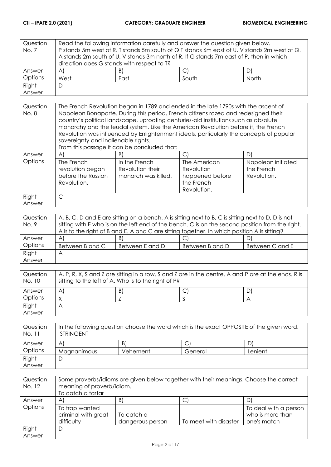| Question | Read the following information carefully and answer the question given below.               |    |  |    |  |
|----------|---------------------------------------------------------------------------------------------|----|--|----|--|
| No. 7    | P stands 5m west of R. T stands 5m south of Q.T stands 6m east of U. V stands 2m west of Q. |    |  |    |  |
|          | A stands 2m south of U. V stands 3m north of R. If G stands 7m east of P, then in which     |    |  |    |  |
|          | direction does G stands with respect to T?                                                  |    |  |    |  |
| Answer   | $\forall$                                                                                   | B) |  | D) |  |
| Options  | West<br>South<br>North<br>East                                                              |    |  |    |  |
| Right    | D                                                                                           |    |  |    |  |
| Answer   |                                                                                             |    |  |    |  |

| Question<br>No. 8 | The French Revolution began in 1789 and ended in the late 1790s with the ascent of<br>Napoleon Bonaparte. During this period, French citizens razed and redesigned their<br>country's political landscape, uprooting centuries-old institutions such as absolute<br>monarchy and the feudal system. Like the American Revolution before it, the French<br>Revolution was influenced by Enlightenment ideals, particularly the concepts of popular<br>sovereignty and inalienable rights.<br>From this passage it can be concluded that: |                                                          |                                                                            |                                                 |
|-------------------|-----------------------------------------------------------------------------------------------------------------------------------------------------------------------------------------------------------------------------------------------------------------------------------------------------------------------------------------------------------------------------------------------------------------------------------------------------------------------------------------------------------------------------------------|----------------------------------------------------------|----------------------------------------------------------------------------|-------------------------------------------------|
| Answer            | AI                                                                                                                                                                                                                                                                                                                                                                                                                                                                                                                                      | B)                                                       | $\mathsf{C}$                                                               | D)                                              |
| Options           | The French<br>revolution began<br>before the Russian<br>Revolution.                                                                                                                                                                                                                                                                                                                                                                                                                                                                     | In the French<br>Revolution their<br>monarch was killed. | The American<br>Revolution<br>happened before<br>the French<br>Revolution. | Napoleon initiated<br>the French<br>Revolution. |
| Right             | C                                                                                                                                                                                                                                                                                                                                                                                                                                                                                                                                       |                                                          |                                                                            |                                                 |
| Answer            |                                                                                                                                                                                                                                                                                                                                                                                                                                                                                                                                         |                                                          |                                                                            |                                                 |

| Question | A, B, C, D and E are sitting on a bench. A is sitting next to B, C is sitting next to D, D is not |                 |                 |                 |
|----------|---------------------------------------------------------------------------------------------------|-----------------|-----------------|-----------------|
| No. 9    | sitting with E who is on the left end of the bench. C is on the second position from the right.   |                 |                 |                 |
|          | A is to the right of B and E. A and C are sitting together. In which position A is sitting?       |                 |                 |                 |
| Answer   | $\forall$                                                                                         | B)              | ◡               | D)              |
| Options  | Between B and C                                                                                   | Between E and D | Between B and D | Between C and E |
| Right    | A                                                                                                 |                 |                 |                 |
| Answer   |                                                                                                   |                 |                 |                 |

| Question<br>No. 10 | $\mid$ A, P, R, X, S and Z are sitting in a row. S and Z are in the centre. A and P are at the ends. R is<br>sitting to the left of A. Who is to the right of P? |    |  |   |
|--------------------|------------------------------------------------------------------------------------------------------------------------------------------------------------------|----|--|---|
| Answer             | A                                                                                                                                                                | B) |  | D |
| Options            |                                                                                                                                                                  |    |  |   |
| Right              | Α                                                                                                                                                                |    |  |   |
| Answer             |                                                                                                                                                                  |    |  |   |

| Question<br>No. 11 | In the following question choose the word which is the exact OPPOSITE of the given word.<br><b>STRINGENT</b> |          |         |         |
|--------------------|--------------------------------------------------------------------------------------------------------------|----------|---------|---------|
| Answer             | A                                                                                                            | B)       |         |         |
| Options            | Magnanimous                                                                                                  | Vehement | General | Lenient |
| Right              |                                                                                                              |          |         |         |
| Answer             |                                                                                                              |          |         |         |

| Question<br>No. 12 | Some proverbs/idioms are given below together with their meanings. Choose the correct<br>meaning of proverb/idiom.<br>To catch a tartar |                                |                       |                                                          |
|--------------------|-----------------------------------------------------------------------------------------------------------------------------------------|--------------------------------|-----------------------|----------------------------------------------------------|
| Answer             | A                                                                                                                                       | B)                             | ◡                     |                                                          |
| Options            | To trap wanted<br>criminal with great<br>difficulty                                                                                     | To catch a<br>dangerous person | To meet with disaster | To deal with a person<br>who is more than<br>one's match |
| Right              | D                                                                                                                                       |                                |                       |                                                          |
| Answer             |                                                                                                                                         |                                |                       |                                                          |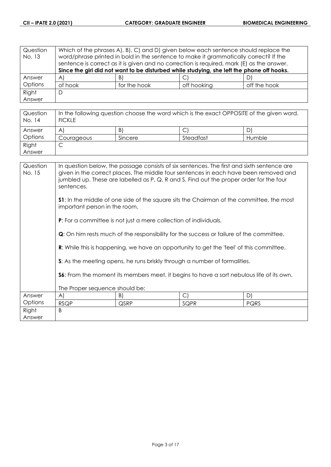| Question<br>No. 13 | Which of the phrases A), B), C) and D) given below each sentence should replace the<br>word/phrase printed in bold in the sentence to make it grammatically correct? If the<br>sentence is correct as it is given and no correction is required, mark (E) as the answer. |                                                                                           |             |              |
|--------------------|--------------------------------------------------------------------------------------------------------------------------------------------------------------------------------------------------------------------------------------------------------------------------|-------------------------------------------------------------------------------------------|-------------|--------------|
|                    |                                                                                                                                                                                                                                                                          | Since the girl did not want to be disturbed while studying, she left the phone off hooks. |             |              |
| Answer             | $\forall$                                                                                                                                                                                                                                                                | B)                                                                                        |             | D)           |
| Options            | of hook                                                                                                                                                                                                                                                                  | for the hook                                                                              | off hooking | off the hook |
| Right              | D                                                                                                                                                                                                                                                                        |                                                                                           |             |              |
| Answer             |                                                                                                                                                                                                                                                                          |                                                                                           |             |              |

| Question<br>No. 14 | In the following question choose the word which is the exact OPPOSITE of the given word.<br><b>FICKLE</b> |         |           |        |
|--------------------|-----------------------------------------------------------------------------------------------------------|---------|-----------|--------|
| Answer             | A                                                                                                         | B)      |           | D      |
| Options            | Courageous                                                                                                | Sincere | Steadfast | Humble |
| Right              |                                                                                                           |         |           |        |
| Answer             |                                                                                                           |         |           |        |

| Question<br>No. 15 | In question below, the passage consists of six sentences. The first and sixth sentence are<br>given in the correct places. The middle four sentences in each have been removed and<br>jumbled up. These are labelled as P, Q, R and S. Find out the proper order for the four<br>sentences. |                                                                         |                                                                           |      |
|--------------------|---------------------------------------------------------------------------------------------------------------------------------------------------------------------------------------------------------------------------------------------------------------------------------------------|-------------------------------------------------------------------------|---------------------------------------------------------------------------|------|
|                    | <b>S1</b> : In the middle of one side of the square sits the Chairman of the committee, the most<br>important person in the room.                                                                                                                                                           |                                                                         |                                                                           |      |
|                    |                                                                                                                                                                                                                                                                                             | <b>P:</b> For a committee is not just a mere collection of individuals. |                                                                           |      |
|                    | <b>Q</b> : On him rests much of the responsibility for the success or failure of the committee.                                                                                                                                                                                             |                                                                         |                                                                           |      |
|                    | <b>R:</b> While this is happening, we have an opportunity to get the 'feel' of this committee.                                                                                                                                                                                              |                                                                         |                                                                           |      |
|                    |                                                                                                                                                                                                                                                                                             |                                                                         | S: As the meeting opens, he runs briskly through a number of formalities. |      |
|                    | <b>S6:</b> From the moment its members meet, it begins to have a sort nebulous life of its own.                                                                                                                                                                                             |                                                                         |                                                                           |      |
|                    | The Proper sequence should be:                                                                                                                                                                                                                                                              |                                                                         |                                                                           |      |
| Answer             | A)                                                                                                                                                                                                                                                                                          | B)                                                                      | $\mathsf{C}$                                                              | D)   |
| Options            | <b>RSQP</b>                                                                                                                                                                                                                                                                                 | QSRP                                                                    | SQPR                                                                      | PQRS |
| Right<br>Answer    | B                                                                                                                                                                                                                                                                                           |                                                                         |                                                                           |      |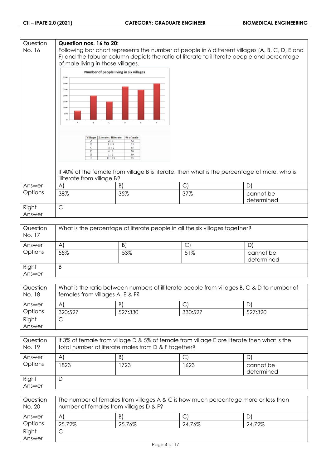## **Question Question nos. 16 to 20:** No. 16 Following bar chart represents the number of people in 6 different villages (A, B, C, D, E and F) and the tabular column depicts the ratio of literate to illiterate people and percentage of male living in those villages. Number of people living in six villages 3500 3000 2500 2000 1500  $1000$ 50 Villages | Literate : Illiterate | % of male Ť  $\frac{1}{13}$  $\overline{11}$ If 40% of the female from village B is literate, then what is the percentage of male, who is illiterate from village B? Answer A)  $|B|$   $|C|$   $|D|$ **Options** 38% 35% 37% cannot be determined Right C Answer

| Question<br>No. 17 | What is the percentage of literate people in all the six villages together? |     |     |                         |
|--------------------|-----------------------------------------------------------------------------|-----|-----|-------------------------|
| Answer             | A                                                                           | B)  | ◡   |                         |
| Options            | 55%                                                                         | 53% | 51% | cannot be<br>determined |
| Right<br>Answer    | B                                                                           |     |     |                         |

| Question<br>No. 18 | What is the ratio between numbers of illiterate people from villages B, C & D to number of<br>females from villages A, E & F? |         |         |         |
|--------------------|-------------------------------------------------------------------------------------------------------------------------------|---------|---------|---------|
| Answer             | A                                                                                                                             | B)      |         | D)      |
| Options            | 320:527                                                                                                                       | 527:330 | 330:527 | 527:320 |
| Right              |                                                                                                                               |         |         |         |
| Answer             |                                                                                                                               |         |         |         |

| Question<br>No. 19 | If 3% of female from village D & 5% of female from village E are literate then what is the<br>total number of literate males from D & F together? |     |      |                         |
|--------------------|---------------------------------------------------------------------------------------------------------------------------------------------------|-----|------|-------------------------|
| Answer             | $\mathsf{A}^{\prime}$                                                                                                                             | B)  |      |                         |
| Options            | 1823                                                                                                                                              | 723 | 1623 | cannot be<br>determined |
| Right<br>Answer    | Ľ                                                                                                                                                 |     |      |                         |

| Question<br>No. 20 | The number of females from villages A & C is how much percentage more or less than<br>number of females from villages D & F? |        |        |        |
|--------------------|------------------------------------------------------------------------------------------------------------------------------|--------|--------|--------|
| Answer             | $\mathsf{A}$                                                                                                                 | B)     |        |        |
| Options            | 25.72%                                                                                                                       | 25.76% | 24.76% | 24.72% |
| Right              | ٮ                                                                                                                            |        |        |        |
| Answer             |                                                                                                                              |        |        |        |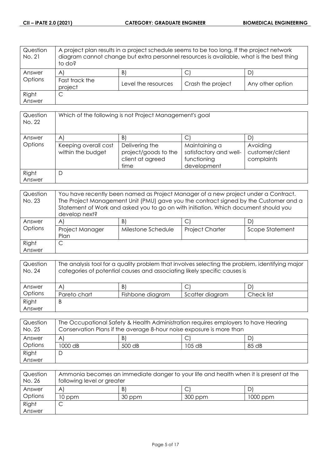| Question<br>No. 21 | A project plan results in a project schedule seems to be too long. If the project network<br>diagram cannot change but extra personnel resources is available, what is the best thing<br>to do? |                     |                   |                  |
|--------------------|-------------------------------------------------------------------------------------------------------------------------------------------------------------------------------------------------|---------------------|-------------------|------------------|
| Answer             | $\mathsf{A}$                                                                                                                                                                                    | B)                  | J                 |                  |
| Options            | Fast track the<br>project                                                                                                                                                                       | Level the resources | Crash the project | Any other option |
| Right              | С                                                                                                                                                                                               |                     |                   |                  |
| Answer             |                                                                                                                                                                                                 |                     |                   |                  |

| Question<br>No. 22 | Which of the following is not Project Management's goal |                                                                    |                                                                       |                                           |
|--------------------|---------------------------------------------------------|--------------------------------------------------------------------|-----------------------------------------------------------------------|-------------------------------------------|
| Answer             | A                                                       | B)                                                                 | C                                                                     | D                                         |
| Options            | Keeping overall cost<br>within the budget               | Delivering the<br>project/goods to the<br>client at agreed<br>time | Maintaining a<br>satisfactory and well-<br>functioning<br>development | Avoiding<br>customer/client<br>complaints |
| Right<br>Answer    | D                                                       |                                                                    |                                                                       |                                           |

| Question<br>No. 23 | You have recently been named as Project Manager of a new project under a Contract.<br>The Project Management Unit (PMU) gave you the contract signed by the Customer and a<br>Statement of Work and asked you to go on with initiation. Which document should you<br>develop next? |                    |                        |                 |
|--------------------|------------------------------------------------------------------------------------------------------------------------------------------------------------------------------------------------------------------------------------------------------------------------------------|--------------------|------------------------|-----------------|
| Answer             | A                                                                                                                                                                                                                                                                                  | B)                 |                        |                 |
| Options            | Project Manager<br>Plan                                                                                                                                                                                                                                                            | Milestone Schedule | <b>Project Charter</b> | Scope Statement |
| Right              |                                                                                                                                                                                                                                                                                    |                    |                        |                 |
| Answer             |                                                                                                                                                                                                                                                                                    |                    |                        |                 |

| Question<br>No. 24 | The analysis tool for a quality problem that involves selecting the problem, identifying major<br>categories of potential causes and associating likely specific causes is |                  |                 |            |
|--------------------|----------------------------------------------------------------------------------------------------------------------------------------------------------------------------|------------------|-----------------|------------|
| Answer             | $\mathsf{A}$                                                                                                                                                               | B)               |                 |            |
| Options            | Pareto chart                                                                                                                                                               | Fishbone diagram | Scatter diagram | Check list |
| Right              | B                                                                                                                                                                          |                  |                 |            |
| Answer             |                                                                                                                                                                            |                  |                 |            |

| Question<br>No. 25 | The Occupational Safety & Health Administration requires employers to have Hearing<br>Conservation Plans if the average 8-hour noise exposure is more than |        |          |       |
|--------------------|------------------------------------------------------------------------------------------------------------------------------------------------------------|--------|----------|-------|
| Answer             | A                                                                                                                                                          | B)     |          |       |
| Options            | 1000 dB                                                                                                                                                    | 500 dB | $105$ dB | 85 dB |
| Right              |                                                                                                                                                            |        |          |       |
| Answer             |                                                                                                                                                            |        |          |       |

| Question<br>No. 26 | Ammonia becomes an immediate danger to your life and health when it is present at the<br>following level or greater |        |         |          |
|--------------------|---------------------------------------------------------------------------------------------------------------------|--------|---------|----------|
| Answer             | A                                                                                                                   | B      |         |          |
| Options            | 10 ppm                                                                                                              | 30 ppm | 300 ppm | 1000 ppm |
| Right              |                                                                                                                     |        |         |          |
| Answer             |                                                                                                                     |        |         |          |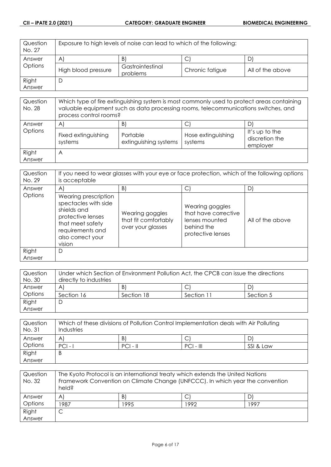| Question<br>No. 27 | Exposure to high levels of noise can lead to which of the following: |                              |                 |                  |
|--------------------|----------------------------------------------------------------------|------------------------------|-----------------|------------------|
| Answer             | $\mathsf{A}$                                                         | B)                           | ◡               |                  |
| Options            | High blood pressure                                                  | Gastrointestinal<br>problems | Chronic fatigue | All of the above |
| Right              |                                                                      |                              |                 |                  |
| Answer             |                                                                      |                              |                 |                  |

| Question<br>No. 28 | Which type of fire extinguishing system is most commonly used to protect areas containing<br>valuable equipment such as data processing rooms, telecommunications switches, and<br>process control rooms? |                                        |                                    |                                              |
|--------------------|-----------------------------------------------------------------------------------------------------------------------------------------------------------------------------------------------------------|----------------------------------------|------------------------------------|----------------------------------------------|
| Answer<br>Options  | $\mathsf{A}$<br>Fixed extinguishing<br>systems                                                                                                                                                            | B<br>Portable<br>extinguishing systems | C<br>Hose extinguishing<br>systems | It's up to the<br>discretion the<br>employer |
| Right<br>Answer    | A                                                                                                                                                                                                         |                                        |                                    |                                              |

| Question<br>No. 29 | If you need to wear glasses with your eye or face protection, which of the following options<br>is acceptable                                           |                                                              |                                                                                              |                  |
|--------------------|---------------------------------------------------------------------------------------------------------------------------------------------------------|--------------------------------------------------------------|----------------------------------------------------------------------------------------------|------------------|
| Answer             | $\mathsf{A}$                                                                                                                                            | B)                                                           | С                                                                                            | D                |
| Options            | Wearing prescription<br>spectacles with side<br>shields and<br>protective lenses<br>that meet safety<br>requirements and<br>also correct your<br>vision | Wearing goggles<br>that fit comfortably<br>over your glasses | Wearing goggles<br>that have corrective<br>lenses mounted<br>behind the<br>protective lenses | All of the above |
| Right<br>Answer    | D                                                                                                                                                       |                                                              |                                                                                              |                  |

| Question | Under which Section of Environment Pollution Act, the CPCB can issue the directions |            |            |           |
|----------|-------------------------------------------------------------------------------------|------------|------------|-----------|
| No. 30   | directly to industries                                                              |            |            |           |
| Answer   | A                                                                                   | B)         |            | DI        |
| Options  | Section 16                                                                          | Section 18 | Section 11 | Section 5 |
| Right    | C                                                                                   |            |            |           |
| Answer   |                                                                                     |            |            |           |

| Question<br>No. 31 | Which of these divisions of Pollution Control Implementation deals with Air Polluting<br>Industries |            |             |           |
|--------------------|-----------------------------------------------------------------------------------------------------|------------|-------------|-----------|
| Answer             | A                                                                                                   | B          |             |           |
| Options            | $ PC $ -                                                                                            | $PCI - II$ | $PCI - III$ | SSI & Law |
| Right              | B                                                                                                   |            |             |           |
| Answer             |                                                                                                     |            |             |           |

| Question<br>No. 32 | The Kyoto Protocol is an international treaty which extends the United Nations<br>Framework Convention on Climate Change (UNFCCC). In which year the convention<br>held? |      |      |      |
|--------------------|--------------------------------------------------------------------------------------------------------------------------------------------------------------------------|------|------|------|
| Answer             | $\mathsf{A}^{\mathsf{c}}$                                                                                                                                                | B)   |      |      |
| Options            | 1987                                                                                                                                                                     | 1995 | 1992 | 1997 |
| Right              | C                                                                                                                                                                        |      |      |      |
| Answer             |                                                                                                                                                                          |      |      |      |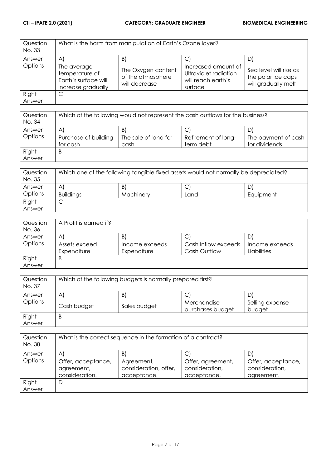| Question<br>No. 33 |                                                                             | What is the harm from manipulation of Earth's Ozone layer? |                                                                               |                                                                     |
|--------------------|-----------------------------------------------------------------------------|------------------------------------------------------------|-------------------------------------------------------------------------------|---------------------------------------------------------------------|
| Answer             | $\mathsf{A}^{\mathsf{c}}$                                                   | B                                                          |                                                                               | D                                                                   |
| Options            | The average<br>temperature of<br>Earth's surface will<br>increase gradually | The Oxygen content<br>of the atmosphere<br>will decrease   | Increased amount of<br>Ultraviolet radiation<br>will reach earth's<br>surface | Sea level will rise as<br>the polar ice caps<br>will gradually melt |
| Right              | C                                                                           |                                                            |                                                                               |                                                                     |
| Answer             |                                                                             |                                                            |                                                                               |                                                                     |

| Question<br>No. 34 | Which of the following would not represent the cash outflows for the business? |                      |                     |                     |
|--------------------|--------------------------------------------------------------------------------|----------------------|---------------------|---------------------|
| Answer             | $\mathsf{A}^{\prime}$                                                          | B                    |                     |                     |
| Options            | Purchase of building                                                           | The sale of land for | Retirement of long- | The payment of cash |
|                    | for cash                                                                       | cash                 | term debt           | for dividends       |
| Right              | B                                                                              |                      |                     |                     |
| Answer             |                                                                                |                      |                     |                     |

| Question<br>No. 35 | Which one of the following tangible fixed assets would not normally be depreciated? |           |      |           |
|--------------------|-------------------------------------------------------------------------------------|-----------|------|-----------|
| Answer             | A                                                                                   | B         | ◡    | D         |
| Options            | <b>Buildings</b>                                                                    | Machinery | Land | Equipment |
| Right              | ◡                                                                                   |           |      |           |
| Answer             |                                                                                     |           |      |           |

| Question | A Profit is earned if? |                |                     |                |
|----------|------------------------|----------------|---------------------|----------------|
| No. 36   |                        |                |                     |                |
| Answer   | A                      | B              | ◡                   |                |
| Options  | Assets exceed          | Income exceeds | Cash Inflow exceeds | Income exceeds |
|          | Expenditure            | Expenditure    | Cash Outflow        | Liabilities    |
| Right    | B                      |                |                     |                |
| Answer   |                        |                |                     |                |

| Question<br>No. 37 | Which of the following budgets is normally prepared first? |              |                                 |                           |
|--------------------|------------------------------------------------------------|--------------|---------------------------------|---------------------------|
| Answer             | $\mathsf{A}$                                               | B)           |                                 | D                         |
| Options            | Cash budget                                                | Sales budget | Merchandise<br>purchases budget | Selling expense<br>budget |
| Right<br>Answer    | B                                                          |              |                                 |                           |

| Question<br>No. 38 | What is the correct sequence in the formation of a contract? |                                                    |                                                    |                                                    |
|--------------------|--------------------------------------------------------------|----------------------------------------------------|----------------------------------------------------|----------------------------------------------------|
| Answer             | $\mathsf{A}^{\prime}$                                        | B                                                  |                                                    | D                                                  |
| Options            | Offer, acceptance,<br>agreement,<br>consideration.           | Agreement,<br>consideration, offer,<br>acceptance. | Offer, agreement,<br>consideration,<br>acceptance. | Offer, acceptance,<br>consideration,<br>agreement. |
| Right              | D                                                            |                                                    |                                                    |                                                    |
| Answer             |                                                              |                                                    |                                                    |                                                    |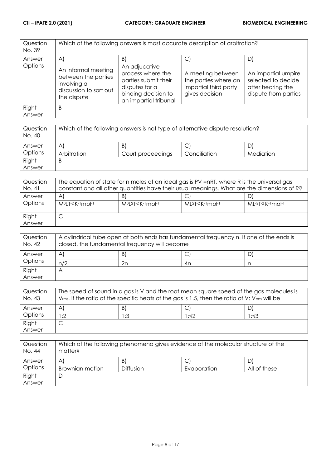| Question<br>No. 39 | Which of the following answers is most accurate description of arbitration?                        |                                                                                                                              |                                                                                      |                                                                                        |
|--------------------|----------------------------------------------------------------------------------------------------|------------------------------------------------------------------------------------------------------------------------------|--------------------------------------------------------------------------------------|----------------------------------------------------------------------------------------|
| Answer             | $\mathsf{A}$                                                                                       | $\vert B \vert$                                                                                                              | C.                                                                                   | D)                                                                                     |
| Options            | An informal meeting<br>between the parties<br>involving a<br>discussion to sort out<br>the dispute | An adjucative<br>process where the<br>parties submit their<br>disputes for a<br>binding decision to<br>an impartial tribunal | A meeting between<br>the parties where an<br>impartial third party<br>gives decision | An impartial umpire<br>selected to decide<br>after hearing the<br>dispute from parties |
| Right<br>Answer    | B                                                                                                  |                                                                                                                              |                                                                                      |                                                                                        |

| Question<br>No. 40 | Which of the following answers is not type of alternative dispute resolution? |                   |              |           |
|--------------------|-------------------------------------------------------------------------------|-------------------|--------------|-----------|
| Answer             | $\mathsf{A}^{\prime}$                                                         | B)                | ◡            |           |
| Options            | Arbitration                                                                   | Court proceedings | Conciliation | Mediation |
| Right              | B                                                                             |                   |              |           |
| Answer             |                                                                               |                   |              |           |

| Question<br>No. 41 | The equation of state for n moles of an ideal gas is PV =nRT, where R is the universal gas<br>constant and all other quantities have their usual meanings. What are the dimensions of R? |                                  |                             |                     |
|--------------------|------------------------------------------------------------------------------------------------------------------------------------------------------------------------------------------|----------------------------------|-----------------------------|---------------------|
| Answer<br>Options  | A<br>M <sup>o</sup> LT-2 K-1 mol-1                                                                                                                                                       | B<br>$M^{0}[2T-2K^{-1}mol^{-1}]$ | $ML^{2}T-2$ K $-1$ mol $-1$ | $ML-2T-2$ K-1 mol-1 |
| Right<br>Answer    | ◡                                                                                                                                                                                        |                                  |                             |                     |

| Question<br>No. 42 | A cylindrical tube open at both ends has fundamental frequency n. If one of the ends is<br>closed, the fundamental frequency will become |    |     |    |
|--------------------|------------------------------------------------------------------------------------------------------------------------------------------|----|-----|----|
| Answer             | A                                                                                                                                        | B) | . J | D' |
| Options            | n/2                                                                                                                                      | 2n | 4n  |    |
| Right              |                                                                                                                                          |    |     |    |
| Answer             |                                                                                                                                          |    |     |    |

| Question<br>No. 43 | The speed of sound in a gas is V and the root mean square speed of the gas molecules is<br>$V_{rms}$ . If the ratio of the specific heats of the gas is 1.5, then the ratio of V: $V_{rms}$ will be |              |       |      |
|--------------------|-----------------------------------------------------------------------------------------------------------------------------------------------------------------------------------------------------|--------------|-------|------|
| Answer             | A                                                                                                                                                                                                   | $\mathsf{B}$ |       |      |
| Options            | :2                                                                                                                                                                                                  | 1:3          | l :√2 | 1:√3 |
| Right              |                                                                                                                                                                                                     |              |       |      |
| Answer             |                                                                                                                                                                                                     |              |       |      |

| Question<br>No. 44 | Which of the following phenomena gives evidence of the molecular structure of the<br>matter? |                  |             |              |
|--------------------|----------------------------------------------------------------------------------------------|------------------|-------------|--------------|
| Answer             | Α                                                                                            | $\vert B \vert$  | Ċ           |              |
| Options            | <b>Brownian motion</b>                                                                       | <b>Diffusion</b> | Evaporation | All of these |
| Right              | ◡                                                                                            |                  |             |              |
| Answer             |                                                                                              |                  |             |              |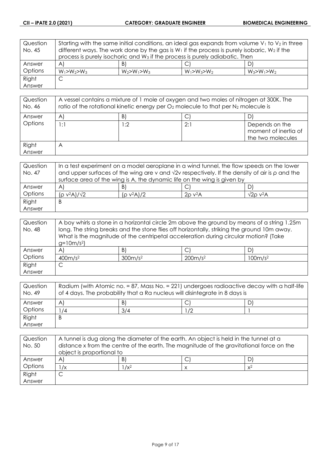| Question | Starting with the same initial conditions, an ideal gas expands from volume $V_1$ to $V_2$ in three |                   |                   |                   |
|----------|-----------------------------------------------------------------------------------------------------|-------------------|-------------------|-------------------|
| No. 45   | different ways. The work done by the gas is $W_1$ if the process is purely isobaric, $W_2$ if the   |                   |                   |                   |
|          | process is purely isochoric and W <sub>3</sub> if the process is purely adiabatic. Then             |                   |                   |                   |
| Answer   | $\forall$                                                                                           | B)                |                   | DI                |
| Options  | $W_1 > W_2 > W_3$                                                                                   | $W_2 > W_1 > W_3$ | $W_1 > W_3 > W_2$ | $W_3 > W_1 > W_2$ |
| Right    | С                                                                                                   |                   |                   |                   |
| Answer   |                                                                                                     |                   |                   |                   |

| Question<br>No. 46 | A vessel contains a mixture of 1 mole of oxygen and two moles of nitrogen at 300K. The<br>ratio of the rotational kinetic energy per $O_2$ molecule to that per $N_2$ molecule is |     |     |                                                             |
|--------------------|-----------------------------------------------------------------------------------------------------------------------------------------------------------------------------------|-----|-----|-------------------------------------------------------------|
| Answer             | A                                                                                                                                                                                 | B)  |     |                                                             |
| Options            | 1:1                                                                                                                                                                               | l:2 | 2:1 | Depends on the<br>moment of inertia of<br>the two molecules |
| Right<br>Answer    | $\forall$                                                                                                                                                                         |     |     |                                                             |

| Question | In a test experiment on a model aeroplane in a wind tunnel, the flow speeds on the lower                   |               |                    |                       |
|----------|------------------------------------------------------------------------------------------------------------|---------------|--------------------|-----------------------|
| No. 47   | and upper surfaces of the wing are v and $\sqrt{2}v$ respectively. If the density of air is $\rho$ and the |               |                    |                       |
|          | surface area of the wing is A, the dynamic life on the wing is given by                                    |               |                    |                       |
| Answer   | A                                                                                                          | B)            |                    |                       |
| Options  | $(p v^2 A)/\sqrt{2}$                                                                                       | $(p v^2 A)/2$ | $20 \text{ V}^2$ A | $\sqrt{2}$ o v $^2$ A |
| Right    | Β                                                                                                          |               |                    |                       |
| Answer   |                                                                                                            |               |                    |                       |

| Question | A boy whirls a stone in a horizontal circle 2m above the ground by means of a string 1.25m  |                 |                                                                                     |    |
|----------|---------------------------------------------------------------------------------------------|-----------------|-------------------------------------------------------------------------------------|----|
| No. 48   | long. The string breaks and the stone flies off horizontally, striking the ground 10m away. |                 |                                                                                     |    |
|          |                                                                                             |                 | What is the magnitude of the centripetal acceleration during circular motion? (Take |    |
|          | $g=10m/s^2$                                                                                 |                 |                                                                                     |    |
| Answer   | A'                                                                                          | $\vert B \vert$ | $\mathsf{C}^1$                                                                      | D. |
| Options  | 400m/s <sup>2</sup><br>300m/s <sup>2</sup><br>200m/s <sup>2</sup><br>100m/s <sup>2</sup>    |                 |                                                                                     |    |
| Right    | ◡                                                                                           |                 |                                                                                     |    |
| Answer   |                                                                                             |                 |                                                                                     |    |

| Question<br>No. 49 | Radium (with Atomic no. = 87, Mass No. = 221) undergoes radioactive decay with a half-life<br>of 4 days. The probability that a Ra nucleus will disintegrate in 8 days is |     |    |  |
|--------------------|---------------------------------------------------------------------------------------------------------------------------------------------------------------------------|-----|----|--|
| Answer             | A                                                                                                                                                                         | B   | ٮ  |  |
| Options            | $^1/4$                                                                                                                                                                    | 3/4 | 72 |  |
| Right              | B                                                                                                                                                                         |     |    |  |
| Answer             |                                                                                                                                                                           |     |    |  |

| Question<br>No. 50 | A tunnel is dug along the diameter of the earth. An object is held in the tunnel at a<br>distance x from the centre of the earth. The magnitude of the gravitational force on the<br>object is proportional to |         |  |       |
|--------------------|----------------------------------------------------------------------------------------------------------------------------------------------------------------------------------------------------------------|---------|--|-------|
| Answer             | A                                                                                                                                                                                                              | B       |  |       |
| Options            | $\sqrt{x}$                                                                                                                                                                                                     | $1/x^2$ |  | $x^2$ |
| Right              |                                                                                                                                                                                                                |         |  |       |
| Answer             |                                                                                                                                                                                                                |         |  |       |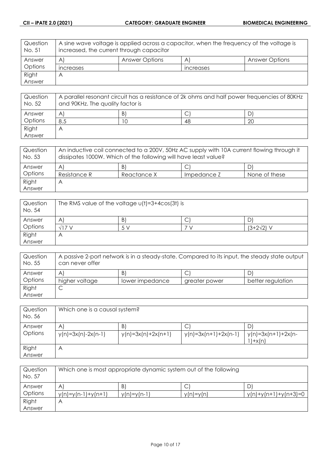| Question<br>No. 51 | A sine wave voltage is applied across a capacitor, when the frequency of the voltage is<br>increased, the current through capacitor |                       |                                |                       |
|--------------------|-------------------------------------------------------------------------------------------------------------------------------------|-----------------------|--------------------------------|-----------------------|
| Answer             | AI                                                                                                                                  | <b>Answer Options</b> | A                              | <b>Answer Options</b> |
| Options            | <b>Increases</b>                                                                                                                    |                       | <i><u><b>Increases</b></u></i> |                       |
| Right              | Α                                                                                                                                   |                       |                                |                       |
| Answer             |                                                                                                                                     |                       |                                |                       |

| Question<br>No. 52 | A parallel resonant circuit has a resistance of 2k ohms and half power frequencies of 80KHz<br>and 90KHz. The quality factor is |    |    |    |
|--------------------|---------------------------------------------------------------------------------------------------------------------------------|----|----|----|
| Answer             | A                                                                                                                               | B) |    | D  |
| Options            | 8.5                                                                                                                             |    | 48 | 20 |
| Right              | Α                                                                                                                               |    |    |    |
| Answer             |                                                                                                                                 |    |    |    |

| Question<br>No. 53 | An inductive coil connected to a 200V, 50Hz AC supply with 10A current flowing through it<br>dissipates 1000W. Which of the following will have least value? |             |             |               |
|--------------------|--------------------------------------------------------------------------------------------------------------------------------------------------------------|-------------|-------------|---------------|
| Answer             | $\forall$                                                                                                                                                    | B.          |             |               |
| Options            | Resistance R                                                                                                                                                 | Reactance X | Impedance Z | None of these |
| Right              | Α                                                                                                                                                            |             |             |               |
| Answer             |                                                                                                                                                              |             |             |               |

| Question<br>No. 54 | The RMS value of the voltage $u(t) = 3 + 4cos(3t)$ is |                     |        |                 |
|--------------------|-------------------------------------------------------|---------------------|--------|-----------------|
| Answer             | Α                                                     | $\lfloor B \rfloor$ | ⌒<br>◡ | D               |
| Options            | 7 <sub>1</sub>                                        | 5 V                 |        | $(3+2\sqrt{2})$ |
| Right              |                                                       |                     |        |                 |
| Answer             |                                                       |                     |        |                 |

| Question<br>No. 55 | A passive 2-port network is in a steady-state. Compared to its input, the steady state output<br>can never offer |                 |               |                   |
|--------------------|------------------------------------------------------------------------------------------------------------------|-----------------|---------------|-------------------|
| Answer             | A                                                                                                                | B.              | ◡             |                   |
| Options            | higher voltage                                                                                                   | lower impedance | greater power | better regulation |
| Right              | ◡                                                                                                                |                 |               |                   |
| Answer             |                                                                                                                  |                 |               |                   |

| Question<br>No. 56 | Which one is a causal system? |                                      |                        |                                    |
|--------------------|-------------------------------|--------------------------------------|------------------------|------------------------------------|
| Answer<br>Options  | A<br>$y(n)=3x(n)-2x(n-1)$     | $\mathsf{B}$<br>$y(n)=3x(n)+2x(n+1)$ | $y(n)=3x(n+1)+2x(n-1)$ | $y(n)=3x(n+1)+2x(n-1)$<br>$1+x(n)$ |
| Right<br>Answer    | Α                             |                                      |                        |                                    |

| Question<br>No. 57 | Which one is most appropriate dynamic system out of the following |               |             |                        |
|--------------------|-------------------------------------------------------------------|---------------|-------------|------------------------|
| Answer             | A                                                                 | B)            | ◡           |                        |
| Options            | $y(n)=y(n-1)+y(n+1)$                                              | $y(n)=y(n-1)$ | $y(n)=y(n)$ | $y(n)+y(n+1)+y(n+3)=0$ |
| Right              | A                                                                 |               |             |                        |
| Answer             |                                                                   |               |             |                        |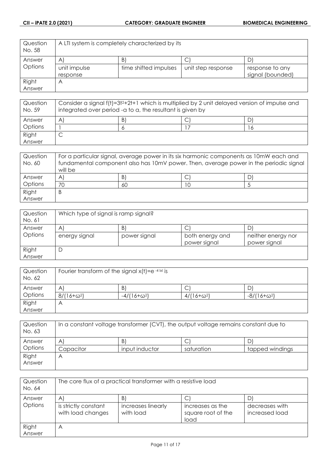| Question<br>No. 58 | A LTI system is completely characterized by its |                       |                    |                  |
|--------------------|-------------------------------------------------|-----------------------|--------------------|------------------|
| Answer             | $\forall$                                       | B,                    |                    |                  |
| <b>Options</b>     | unit impulse                                    | time shifted impulses | unit step response | response to any  |
|                    | response                                        |                       |                    | signal (bounded) |
| Right              | A                                               |                       |                    |                  |
| Answer             |                                                 |                       |                    |                  |

| Question<br>No. 59 | Consider a signal f(t)=3t <sup>2</sup> +2t+1 which is multiplied by 2 unit delayed version of impulse and<br>integrated over period - a to a, the resultant is given by |   |  |   |
|--------------------|-------------------------------------------------------------------------------------------------------------------------------------------------------------------------|---|--|---|
| Answer             | A                                                                                                                                                                       | B |  |   |
| Options            |                                                                                                                                                                         |   |  | O |
| Right              |                                                                                                                                                                         |   |  |   |
| Answer             |                                                                                                                                                                         |   |  |   |

| Question<br>No. 60 | For a particular signal, average power in its six harmonic components as 10mW each and<br>fundamental component also has 10mV power. Then, average power in the periodic signal<br>will be |    |  |  |
|--------------------|--------------------------------------------------------------------------------------------------------------------------------------------------------------------------------------------|----|--|--|
| Answer             | Α                                                                                                                                                                                          | B. |  |  |
| Options            | 70                                                                                                                                                                                         | 60 |  |  |
| Right              | Β                                                                                                                                                                                          |    |  |  |
| Answer             |                                                                                                                                                                                            |    |  |  |

| Question | Which type of signal is ramp signal? |              |                 |                    |  |
|----------|--------------------------------------|--------------|-----------------|--------------------|--|
| No. 61   |                                      |              |                 |                    |  |
| Answer   | $\forall$                            | B            | ◡               | D                  |  |
| Options  | energy signal                        | power signal | both energy and | neither energy nor |  |
|          |                                      |              | power signal    | power signal       |  |
| Right    | D                                    |              |                 |                    |  |
| Answer   |                                      |              |                 |                    |  |

| Question<br>No. 62 | Fourier transform of the signal $x(t) = e^{-4 x }$ is |                    |                   |                    |
|--------------------|-------------------------------------------------------|--------------------|-------------------|--------------------|
| Answer             | A                                                     | B                  | ◡                 |                    |
| Options            | $8/(16+\omega^2)$                                     | $-4/(16+\omega^2)$ | $4/(16+\omega^2)$ | $-8/(16+\omega^2)$ |
| Right              | A                                                     |                    |                   |                    |
| Answer             |                                                       |                    |                   |                    |

| tapped windings |
|-----------------|
|                 |
|                 |

| Question<br>No. 64 | The core flux of a practical transformer with a resistive load |                                 |                                                |                                  |
|--------------------|----------------------------------------------------------------|---------------------------------|------------------------------------------------|----------------------------------|
| Answer             | $\mathsf{A}$                                                   | B.                              |                                                |                                  |
| Options            | is strictly constant<br>with load changes                      | increases linearly<br>with load | increases as the<br>square root of the<br>load | decreases with<br>increased load |
| Right<br>Answer    | Α                                                              |                                 |                                                |                                  |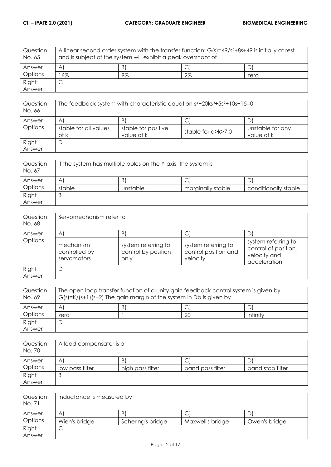| Question<br>No. 65 | A linear second order system with the transfer function: $G(s)=49/s^2+8s+49$ is initially at rest<br>and is subject of the system will exhibit a peak overshoot of |    |       |      |
|--------------------|--------------------------------------------------------------------------------------------------------------------------------------------------------------------|----|-------|------|
| Answer             | A                                                                                                                                                                  | Β  |       |      |
| Options            | 6%                                                                                                                                                                 | 9% | $2\%$ | zero |
| Right              | ⌒                                                                                                                                                                  |    |       |      |
| Answer             |                                                                                                                                                                    |    |       |      |

| Question<br>No. 66 | The feedback system with characteristic equation $s4+20ks3+5s2+10s+15=0$ |                     |                          |                  |
|--------------------|--------------------------------------------------------------------------|---------------------|--------------------------|------------------|
| Answer             | A                                                                        | B)                  | С                        |                  |
| Options            | stable for all values                                                    | stable for positive | stable for $a > k > 7.0$ | unstable for any |
|                    | of k                                                                     | value of k          |                          | value of k       |
| Right              | D                                                                        |                     |                          |                  |
| Answer             |                                                                          |                     |                          |                  |

| Question<br>No. 67 | If the system has multiple poles on the Y-axis, the system is |          |                   |                      |
|--------------------|---------------------------------------------------------------|----------|-------------------|----------------------|
| Answer             | Α                                                             | B        | ◡                 | ا ل                  |
| Options            | stable                                                        | unstable | marginally stable | conditionally stable |
| Right              | B                                                             |          |                   |                      |
| Answer             |                                                               |          |                   |                      |

| Question<br>No. 68 | Servomechanism refer to                   |                                                    |                                                         |                                                                             |  |
|--------------------|-------------------------------------------|----------------------------------------------------|---------------------------------------------------------|-----------------------------------------------------------------------------|--|
| Answer             | A                                         | $\mathsf{B}$                                       |                                                         |                                                                             |  |
| Options            | mechanism<br>controlled by<br>servomotors | system referring to<br>control by position<br>only | system referring to<br>control position and<br>velocity | system referring to<br>control of position,<br>velocity and<br>acceleration |  |
| Right              | D                                         |                                                    |                                                         |                                                                             |  |
| Answer             |                                           |                                                    |                                                         |                                                                             |  |

| Question<br>No. 69 | The open loop transfer function of a unity gain feedback control system is given by<br>$G(s)=K/(s+1)(s+2)$ The gain margin of the system in Db is given by |   |    |          |
|--------------------|------------------------------------------------------------------------------------------------------------------------------------------------------------|---|----|----------|
| Answer             | Α                                                                                                                                                          | B |    |          |
| Options            | zero                                                                                                                                                       |   | 20 | infinity |
| Right              |                                                                                                                                                            |   |    |          |
| Answer             |                                                                                                                                                            |   |    |          |

| Question<br>No. 70 | A lead compensator is a |                  |                  |                  |
|--------------------|-------------------------|------------------|------------------|------------------|
| Answer             | A                       | B                | ◡                |                  |
| Options            | low pass filter         | high pass filter | band pass filter | band stop filter |
| Right              | B                       |                  |                  |                  |
| Answer             |                         |                  |                  |                  |

| Question<br>No. 71 | Inductance is measured by |                   |                  |               |
|--------------------|---------------------------|-------------------|------------------|---------------|
| Answer             | A                         | B                 | ◡                | υ             |
| Options            | Wien's bridge             | Schering's bridge | Maxwell's bridge | Owen's bridge |
| Right              | ◡                         |                   |                  |               |
| Answer             |                           |                   |                  |               |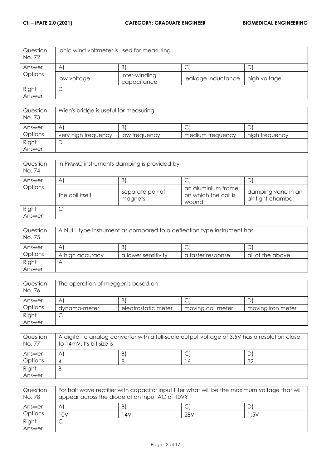| Question<br>No. 72 | lonic wind voltmeter is used for measuring |                              |                    |              |
|--------------------|--------------------------------------------|------------------------------|--------------------|--------------|
| Answer             | $\mathsf{A}$                               | B                            | U                  |              |
| Options            | low voltage                                | Inter-winding<br>capacitance | leakage inductance | high voltage |
| Right              |                                            |                              |                    |              |
| Answer             |                                            |                              |                    |              |

| Question<br>No. 73 | Wien's bridge is useful for measuring |               |                  |                |
|--------------------|---------------------------------------|---------------|------------------|----------------|
| Answer             | Α                                     | B.            | ◡                |                |
| Options            | very high frequency                   | low frequency | medium frequency | high frequency |
| Right              |                                       |               |                  |                |
| Answer             |                                       |               |                  |                |

| Question<br>No. 74 | In PMMC instruments damping is provided by |                             |                                                     |                                         |
|--------------------|--------------------------------------------|-----------------------------|-----------------------------------------------------|-----------------------------------------|
| Answer             | Α                                          | B)                          | C                                                   |                                         |
| Options            | the coil itself                            | Separate pair of<br>magnets | an aluminium frame<br>on which the coil is<br>wound | damping vane in an<br>air tight chamber |
| Right<br>Answer    | ◡                                          |                             |                                                     |                                         |

| Question<br>No. 75 | A NULL type instrument as compared to a deflection type instrument has |                     |                   |                  |
|--------------------|------------------------------------------------------------------------|---------------------|-------------------|------------------|
| Answer             | $\forall$                                                              | B.                  |                   |                  |
| Options            | A high accuracy                                                        | a lower sensitivity | a faster response | all of the above |
| Right              | Α                                                                      |                     |                   |                  |
| Answer             |                                                                        |                     |                   |                  |

| Question<br>No. 76 | The operation of megger is based on |                     |                   |                   |
|--------------------|-------------------------------------|---------------------|-------------------|-------------------|
| Answer             | A                                   | B.                  | ◡                 | D                 |
| Options            | dynamo-meter                        | electrostatic meter | moving coil meter | moving iron meter |
| Right              | ◡                                   |                     |                   |                   |
| Answer             |                                     |                     |                   |                   |

| Question<br>No. 77 | A digital to analog converter with a full-scale output voltage of 3.5V has a resolution close<br>to 14mV. Its bit size is |  |  |    |
|--------------------|---------------------------------------------------------------------------------------------------------------------------|--|--|----|
| Answer             | Α                                                                                                                         |  |  |    |
| Options            |                                                                                                                           |  |  | 32 |
| Right              | B                                                                                                                         |  |  |    |
| Answer             |                                                                                                                           |  |  |    |

| Question<br>No. 78 | For half wave rectifier with capacitor input filter what will be the maximum voltage that will<br>appear across the diode of an input AC of 10V? |    |     |      |
|--------------------|--------------------------------------------------------------------------------------------------------------------------------------------------|----|-----|------|
| Answer             | Α                                                                                                                                                | B) | ◡   |      |
| Options            | 10V                                                                                                                                              | 4V | 28V | 1.5V |
| Right              | ◡                                                                                                                                                |    |     |      |
| Answer             |                                                                                                                                                  |    |     |      |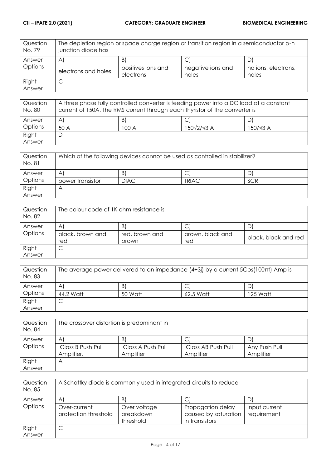| Question<br>No. 79 | The depletion region or space charge region or transition region in a semiconductor p-n<br>junction diode has |                                 |                            |                              |
|--------------------|---------------------------------------------------------------------------------------------------------------|---------------------------------|----------------------------|------------------------------|
| Answer             | A <sub>l</sub>                                                                                                | B)                              |                            |                              |
| Options            | electrons and holes                                                                                           | positives ions and<br>electrons | negative ions and<br>holes | no ions, electrons,<br>holes |
| Right<br>Answer    | C                                                                                                             |                                 |                            |                              |

| Question<br>No. 80 | A three phase fully controlled converter is feeding power into a DC load at a constant<br>current of 150A. The RMS current through each thyristor of the converter is |       |            |          |
|--------------------|-----------------------------------------------------------------------------------------------------------------------------------------------------------------------|-------|------------|----------|
| Answer             | Α                                                                                                                                                                     | B     |            |          |
| Options            | 50 A                                                                                                                                                                  | 100 A | 150√2/√3 A | 150/√3 A |
| Right              |                                                                                                                                                                       |       |            |          |
| Answer             |                                                                                                                                                                       |       |            |          |

| Question<br>No. 81 | Which of the following devices cannot be used as controlled in stabilizer? |             |              |            |
|--------------------|----------------------------------------------------------------------------|-------------|--------------|------------|
| Answer             | A                                                                          | B.          |              |            |
| Options            | power transistor                                                           | <b>DIAC</b> | <b>TRIAC</b> | <b>SCR</b> |
| Right              |                                                                            |             |              |            |
| Answer             |                                                                            |             |              |            |

| Question<br>No. 82 | The colour code of 1K ohm resistance is |                               |                         |                      |  |
|--------------------|-----------------------------------------|-------------------------------|-------------------------|----------------------|--|
| Answer<br>Options  | Α<br>black, brown and<br>red            | B)<br>red, brown and<br>brown | brown, black and<br>red | black, black and red |  |
| Right<br>Answer    |                                         |                               |                         |                      |  |

| Question<br>No. 83 | The average power delivered to an impedance (4+3j) by a current 5Cos(100 $\pi$ t) Amp is |         |           |          |
|--------------------|------------------------------------------------------------------------------------------|---------|-----------|----------|
| Answer             | A                                                                                        | B.      | C         | D.       |
| Options            | 44.2 Watt                                                                                | 50 Watt | 62.5 Watt | 125 Watt |
| Right              | ◡                                                                                        |         |           |          |
| Answer             |                                                                                          |         |           |          |

| Question<br>No. 84 | The crossover distortion is predominant in |                   |                    |               |
|--------------------|--------------------------------------------|-------------------|--------------------|---------------|
| Answer             | A                                          | B.                | C                  | DI            |
| Options            | Class B Push Pull                          | Class A Push Pull | Class AB Push Pull | Any Push Pull |
|                    | Amplifier.                                 | Amplifier         | Amplifier          | Amplifier     |
| Right              | A                                          |                   |                    |               |
| Answer             |                                            |                   |                    |               |

| Question<br>No. 85 | A Schottky diode is commonly used in integrated circuits to reduce |                                        |                                                             |                              |
|--------------------|--------------------------------------------------------------------|----------------------------------------|-------------------------------------------------------------|------------------------------|
| Answer             | $\mathsf{A}$                                                       | B.                                     | С                                                           |                              |
| Options            | Over-current<br>protection threshold                               | Over voltage<br>breakdown<br>threshold | Propagation delay<br>caused by saturation<br>in transistors | Input current<br>requirement |
| Right<br>Answer    | С                                                                  |                                        |                                                             |                              |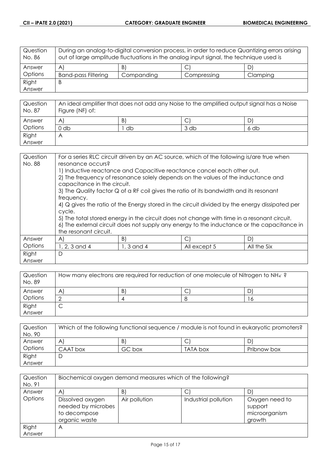| Question<br>No. 86 | During an analog-to-digital conversion process, in order to reduce Quantizing errors arising<br>out of large amplitude fluctuations in the analog input signal, the technique used is |            |             |          |
|--------------------|---------------------------------------------------------------------------------------------------------------------------------------------------------------------------------------|------------|-------------|----------|
| Answer             | $\mathsf{A}$                                                                                                                                                                          | B)         |             | D)       |
| <b>Options</b>     | <b>Band-pass Filtering</b>                                                                                                                                                            | Companding | Compressing | Clamping |
| Right              | B                                                                                                                                                                                     |            |             |          |
| Answer             |                                                                                                                                                                                       |            |             |          |

| Question<br>No. 87 | An ideal amplifier that does not add any Noise to the amplified output signal has a Noise<br>Figure (NF) of: |    |      |      |
|--------------------|--------------------------------------------------------------------------------------------------------------|----|------|------|
| Answer             | A                                                                                                            | B) |      |      |
| Options            | J db                                                                                                         | db | 3 db | 6 db |
| Right              | Α                                                                                                            |    |      |      |
| Answer             |                                                                                                              |    |      |      |

| Question        | For a series RLC circuit driven by an AC source, which of the following is/are true when<br>resonance occurs? |                                                                                                                                                                                                                                                                                                                                                                                                                                                                                                                                                   |              |             |
|-----------------|---------------------------------------------------------------------------------------------------------------|---------------------------------------------------------------------------------------------------------------------------------------------------------------------------------------------------------------------------------------------------------------------------------------------------------------------------------------------------------------------------------------------------------------------------------------------------------------------------------------------------------------------------------------------------|--------------|-------------|
| No. 88          | capacitance in the circuit.<br>frequency.<br>cycle.<br>the resonant circuit.                                  | 1) Inductive reactance and Capacitive reactance cancel each other out.<br>2) The frequency of resonance solely depends on the values of the inductance and<br>3) The Quality factor Q of a RF coil gives the ratio of its bandwidth and its resonant<br>4) Q gives the ratio of the Energy stored in the circuit divided by the energy dissipated per<br>5) The total stored energy in the circuit does not change with time in a resonant circuit.<br>6) The external circuit does not supply any energy to the inductance or the capacitance in |              |             |
| Answer          | $\mathsf{A}$                                                                                                  | B)                                                                                                                                                                                                                                                                                                                                                                                                                                                                                                                                                | $\mathsf{C}$ | D)          |
| Options         | 1, 2, 3 and 4                                                                                                 | $1, 3$ and 4                                                                                                                                                                                                                                                                                                                                                                                                                                                                                                                                      | All except 5 | All the Six |
| Right<br>Answer | D                                                                                                             |                                                                                                                                                                                                                                                                                                                                                                                                                                                                                                                                                   |              |             |

| Question<br>No. 89 | How many electrons are required for reduction of one molecule of Nitrogen to NH $_4$ ? |    |   |    |
|--------------------|----------------------------------------------------------------------------------------|----|---|----|
| Answer             | Α                                                                                      | B. | ◡ |    |
| Options            |                                                                                        |    |   | 16 |
| Right              | ◡                                                                                      |    |   |    |
| Answer             |                                                                                        |    |   |    |

| Question<br>No. 90 | Which of the following functional sequence / module is not found in eukaryotic promoters? |        |          |             |
|--------------------|-------------------------------------------------------------------------------------------|--------|----------|-------------|
| Answer             | A                                                                                         | B.     | ◡        |             |
| Options            | CAAT box                                                                                  | GC box | TATA box | Pribnow box |
| Right              |                                                                                           |        |          |             |
| Answer             |                                                                                           |        |          |             |

| Question<br>No. 91 | Biochemical oxygen demand measures which of the following?              |               |                      |                                                      |
|--------------------|-------------------------------------------------------------------------|---------------|----------------------|------------------------------------------------------|
| Answer             | A                                                                       | B)            |                      |                                                      |
| Options            | Dissolved oxygen<br>needed by microbes<br>to decompose<br>organic waste | Air pollution | Industrial pollution | Oxygen need to<br>support<br>microorganism<br>growth |
| Right<br>Answer    | А                                                                       |               |                      |                                                      |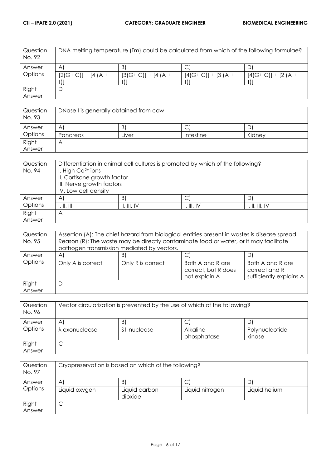| Question<br>No. 92 | DNA melting temperature (Tm) could be calculated from which of the following formulae? |                     |                     |                     |
|--------------------|----------------------------------------------------------------------------------------|---------------------|---------------------|---------------------|
| Answer             | $\mathsf{A}$                                                                           | $\vert B \vert$     | C                   |                     |
| Options            | $[2(G+C)] + [4(A +$                                                                    | $[3(G+C)] + [4(A +$ | $[4(G+C)] + [3(A +$ | $[4(G+C)] + [2(A +$ |
|                    |                                                                                        |                     |                     |                     |
| Right              | D                                                                                      |                     |                     |                     |
| Answer             |                                                                                        |                     |                     |                     |

| Question<br>No. 93 | DNase I is generally obtained from cow |       |           |        |
|--------------------|----------------------------------------|-------|-----------|--------|
| Answer             | Α                                      | B.    | ◡         | D.     |
| Options            | Pancreas                               | ∟iver | Intestine | Kidney |
| Right              | ٣                                      |       |           |        |
| Answer             |                                        |       |           |        |

| Question | Differentiation in animal cell cultures is promoted by which of the following? |             |            |                |
|----------|--------------------------------------------------------------------------------|-------------|------------|----------------|
| No. 94   | I. High $Ca2+ ions$                                                            |             |            |                |
|          | II. Cortisone growth factor                                                    |             |            |                |
|          | III. Nerve growth factors                                                      |             |            |                |
|          | IV. Low cell density                                                           |             |            |                |
| Answer   | $\mathsf{A}$                                                                   | B)          |            |                |
| Options  | $\parallel$ , $\parallel$ , $\parallel$                                        | II, III, IV | I, III, IV | I, II, III, IV |
| Right    | A                                                                              |             |            |                |
| Answer   |                                                                                |             |            |                |

| Question<br>No. 95 | Assertion (A): The chief hazard from biological entities present in wastes is disease spread.<br>Reason (R): The waste may be directly contaminate food or water, or it may facilitate<br>pathogen transmission mediated by vectors. |                   |                                                          |                                                              |
|--------------------|--------------------------------------------------------------------------------------------------------------------------------------------------------------------------------------------------------------------------------------|-------------------|----------------------------------------------------------|--------------------------------------------------------------|
| Answer             | A                                                                                                                                                                                                                                    | B)                | С                                                        |                                                              |
| Options            | Only A is correct                                                                                                                                                                                                                    | Only R is correct | Both A and R are<br>correct, but R does<br>not explain A | Both A and R are<br>correct and R<br>sufficiently explains A |
| Right<br>Answer    | D                                                                                                                                                                                                                                    |                   |                                                          |                                                              |

| Question<br>No. 96 | Vector circularization is prevented by the use of which of the following? |                  |                              |                          |
|--------------------|---------------------------------------------------------------------------|------------------|------------------------------|--------------------------|
| Answer<br>Options  | A<br>λ exonuclease                                                        | B<br>S1 nuclease | C<br>Alkaline<br>phosphatase | Polynucleotide<br>kinase |
| Right<br>Answer    | ◡                                                                         |                  |                              |                          |

| Question<br>No. 97 | Cryopreservation is based on which of the following? |                          |                 |               |
|--------------------|------------------------------------------------------|--------------------------|-----------------|---------------|
| Answer             | $\mathsf{A}$                                         | B)                       | С               |               |
| Options            | Liquid oxygen                                        | Liquid carbon<br>dioxide | Liquid nitrogen | Liquid helium |
| Right              | ◡                                                    |                          |                 |               |
| Answer             |                                                      |                          |                 |               |